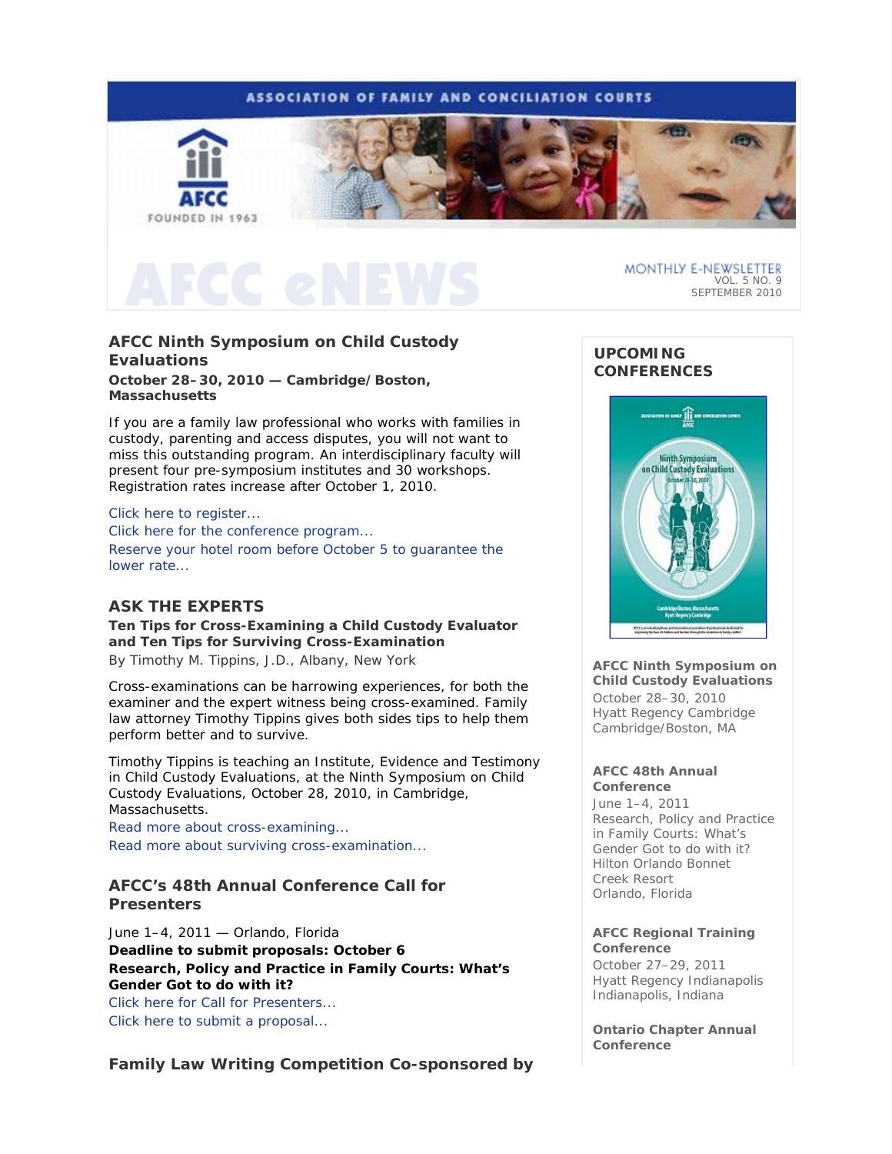# **ASSOCIATION OF FAMILY AND CONCILIATION COURTS**



MONTHLY E-NEWSLETTER VOL. 5 NO. 9 SEPTEMBER 2010

# **AFCC Ninth Symposium on Child Custody Evaluations**

**October 28–30, 2010 — Cambridge/Boston, Massachusetts** 

If you are a family law professional who works with families in custody, parenting and access disputes, you will not want to miss this outstanding program. An interdisciplinary faculty will present four pre-symposium institutes and 30 workshops. Registration rates increase after October 1, 2010.

### Click here to register...

Click here for the conference program... Reserve your hotel room before October 5 to guarantee the lower rate...

### **ASK THE EXPERTS**

**Ten Tips for Cross-Examining a Child Custody Evaluator and Ten Tips for Surviving Cross-Examination**  *By Timothy M. Tippins, J.D., Albany, New York* 

Cross-examinations can be harrowing experiences, for both the examiner and the expert witness being cross-examined. Family law attorney Timothy Tippins gives both sides tips to help them perform better and to survive.

*Timothy Tippins is teaching an Institute,* Evidence and Testimony in Child Custody Evaluations*, at the Ninth Symposium on Child Custody Evaluations, October 28, 2010, in Cambridge, Massachusetts.*

Read more about cross-examining... Read more about surviving cross-examination...

# **AFCC's 48th Annual Conference Call for Presenters**

June 1–4, 2011 — Orlando, Florida **Deadline to submit proposals: October 6** *Research, Policy and Practice in Family Courts: What's Gender Got to do with it?* Click here for Call for Presenters...

Click here to submit a proposal...

**Family Law Writing Competition Co-sponsored by** 

# **UPCOMING CONFERENCES**



**AFCC Ninth Symposium on Child Custody Evaluations**  October 28–30, 2010 Hyatt Regency Cambridge

### **AFCC 48th Annual Conference**

Cambridge/Boston, MA

June 1–4, 2011 *Research, Policy and Practice in Family Courts: What's Gender Got to do with it?*  Hilton Orlando Bonnet Creek Resort Orlando, Florida

### **AFCC Regional Training Conference**

October 27–29, 2011 Hyatt Regency Indianapolis Indianapolis, Indiana

**Ontario Chapter Annual Conference**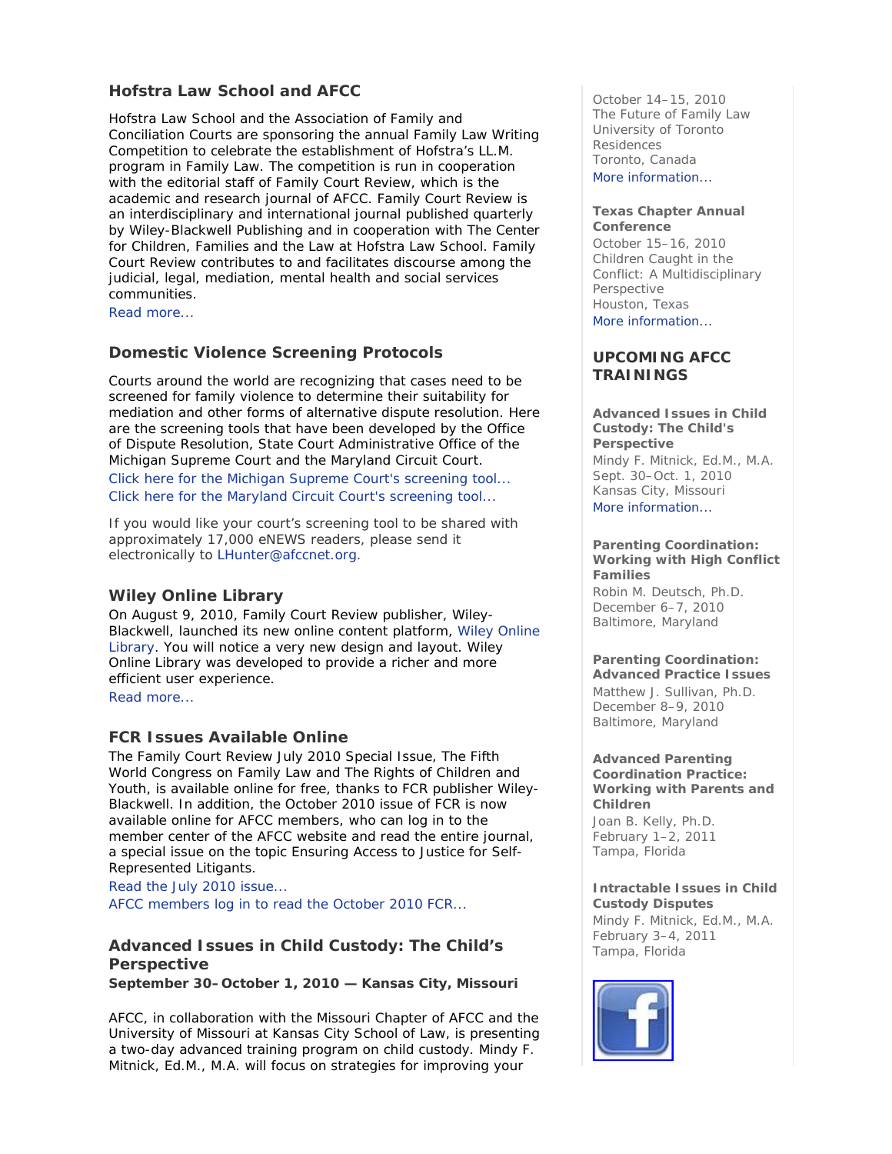# **Hofstra Law School and AFCC**

Hofstra Law School and the Association of Family and Conciliation Courts are sponsoring the annual Family Law Writing Competition to celebrate the establishment of Hofstra's LL.M. program in Family Law. The competition is run in cooperation with the editorial staff of *Family Court Review*, which is the academic and research journal of AFCC. *Family Court Review* is an interdisciplinary and international journal published quarterly by Wiley-Blackwell Publishing and in cooperation with The Center for Children, Families and the Law at Hofstra Law School. *Family Court Review* contributes to and facilitates discourse among the judicial, legal, mediation, mental health and social services communities.

Read more...

# **Domestic Violence Screening Protocols**

Courts around the world are recognizing that cases need to be screened for family violence to determine their suitability for mediation and other forms of alternative dispute resolution. Here are the screening tools that have been developed by the Office of Dispute Resolution, State Court Administrative Office of the Michigan Supreme Court and the Maryland Circuit Court. Click here for the Michigan Supreme Court's screening tool... Click here for the Maryland Circuit Court's screening tool...

*If you would like your court's screening tool to be shared with approximately 17,000 eNEWS readers, please send it electronically to LHunter@afccnet.org.*

### **Wiley Online Library**

On August 9, 2010, *Family Court Review* publisher, Wiley-Blackwell, launched its new online content platform, Wiley Online Library. You will notice a very new design and layout. Wiley Online Library was developed to provide a richer and more efficient user experience. Read more...

# **FCR Issues Available Online**

The *Family Court Review* July 2010 Special Issue, *The Fifth World Congress on Family Law and The Rights of Children and Youth,* is available online for free*,* thanks to *FCR* publisher Wiley-Blackwell*.* In addition, the October 2010 issue of *FCR* is now available online for AFCC members, who can log in to the member center of the AFCC website and read the entire journal, a special issue on the topic *Ensuring Access to Justice for Self-Represented Litigants*.

Read the July 2010 issue...

AFCC members log in to read the October 2010 *FCR*...

# **Advanced Issues in Child Custody: The Child's Perspective**

**September 30–October 1, 2010 — Kansas City, Missouri** 

AFCC, in collaboration with the Missouri Chapter of AFCC and the University of Missouri at Kansas City School of Law, is presenting a two-day advanced training program on child custody. Mindy F. Mitnick, Ed.M., M.A. will focus on strategies for improving your

October 14–15, 2010 *The Future of Family Law*  University of Toronto Residences Toronto, Canada More information...

#### **Texas Chapter Annual Conference**

October 15–16, 2010 *Children Caught in the Conflict: A Multidisciplinary Perspective* Houston, Texas More information...

## **UPCOMING AFCC TRAININGS**

### **Advanced Issues in Child Custody: The Child's Perspective**  *Mindy F. Mitnick, Ed.M., M.A.*  Sept. 30–Oct. 1, 2010 Kansas City, Missouri More information...

### **Parenting Coordination: Working with High Conflict Families**

*Robin M. Deutsch, Ph.D.* December 6–7, 2010 Baltimore, Maryland

# **Parenting Coordination:**

**Advanced Practice Issues**  *Matthew J. Sullivan, Ph.D.* December 8–9, 2010 Baltimore, Maryland

#### **Advanced Parenting Coordination Practice: Working with Parents and Children**

*Joan B. Kelly, Ph.D.* February 1–2, 2011 Tampa, Florida

### **Intractable Issues in Child Custody Disputes**

*Mindy F. Mitnick, Ed.M., M.A.* February 3–4, 2011 Tampa, Florida

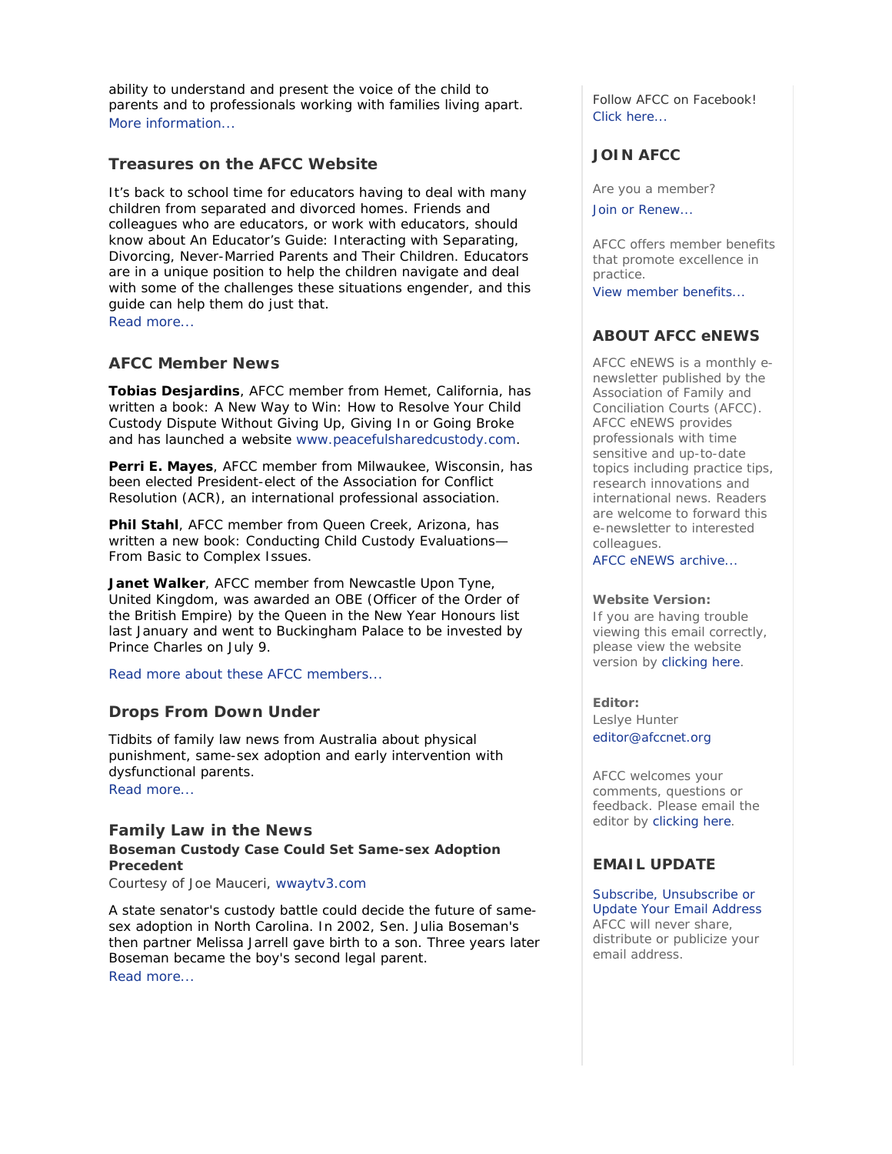ability to understand and present the voice of the child to parents and to professionals working with families living apart. More information...

# **Treasures on the AFCC Website**

It's back to school time for educators having to deal with many children from separated and divorced homes. Friends and colleagues who are educators, or work with educators, should know about *An Educator's Guide: Interacting with Separating, Divorcing, Never-Married Parents and Their Children*. Educators are in a unique position to help the children navigate and deal with some of the challenges these situations engender, and this guide can help them do just that. Read more...

**AFCC Member News** 

**Tobias Desjardins**, AFCC member from Hemet, California, has written a book: *A New Way to Win: How to Resolve Your Child Custody Dispute Without Giving Up, Giving In or Going Broke* and has launched a website www.peacefulsharedcustody.com.

**Perri E. Mayes**, AFCC member from Milwaukee, Wisconsin, has been elected President-elect of the Association for Conflict Resolution (ACR), an international professional association.

**Phil Stahl**, AFCC member from Queen Creek, Arizona, has written a new book: *Conducting Child Custody Evaluations— From Basic to Complex Issues*.

**Janet Walker**, AFCC member from Newcastle Upon Tyne, United Kingdom, was awarded an OBE (Officer of the Order of the British Empire) by the Queen in the New Year Honours list last January and went to Buckingham Palace to be invested by Prince Charles on July 9.

Read more about these AFCC members...

### **Drops From Down Under**

Tidbits of family law news from Australia about physical punishment, same-sex adoption and early intervention with dysfunctional parents. Read more...

**Family Law in the News Boseman Custody Case Could Set Same-sex Adoption Precedent** 

*Courtesy of Joe Mauceri, wwaytv3.com*

A state senator's custody battle could decide the future of samesex adoption in North Carolina. In 2002, Sen. Julia Boseman's then partner Melissa Jarrell gave birth to a son. Three years later Boseman became the boy's second legal parent. Read more...

Follow AFCC on Facebook! Click here...

# **JOIN AFCC**

Are you a member?

Join or Renew...

AFCC offers member benefits that promote excellence in practice. View member benefits...

# **ABOUT AFCC eNEWS**

*AFCC eNEWS* is a monthly enewsletter published by the Association of Family and Conciliation Courts (AFCC). *AFCC eNEWS* provides professionals with time sensitive and up-to-date topics including practice tips, research innovations and international news. Readers are welcome to forward this e-newsletter to interested colleagues.

AFCC eNEWS archive...

#### **Website Version:**

If you are having trouble viewing this email correctly, please view the website version by clicking here.

**Editor:**  Leslye Hunter editor@afccnet.org

AFCC welcomes your comments, questions or feedback. Please email the editor by clicking here.

# **EMAIL UPDATE**

Subscribe, Unsubscribe or Update Your Email Address AFCC will never share, distribute or publicize your email address.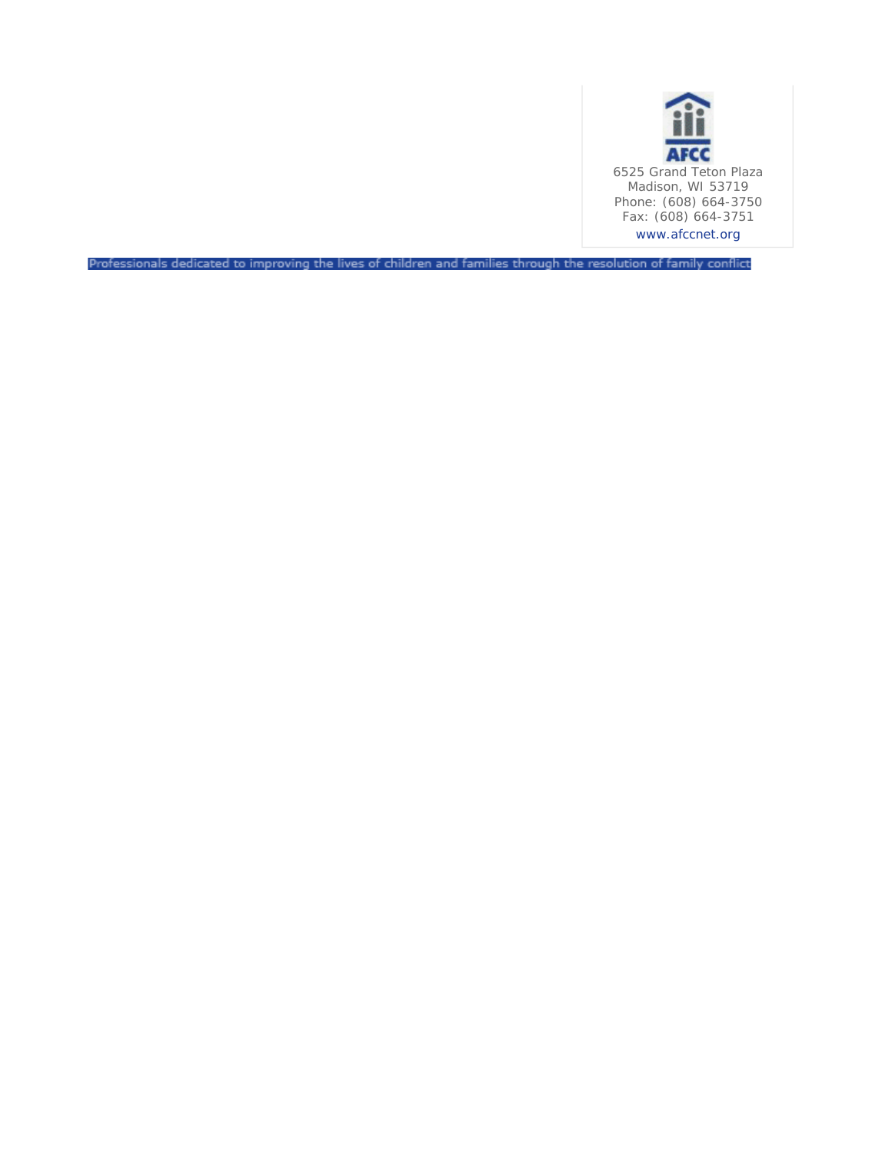

Professionals dedicated to improving the lives of children and families through the resolution of family conflict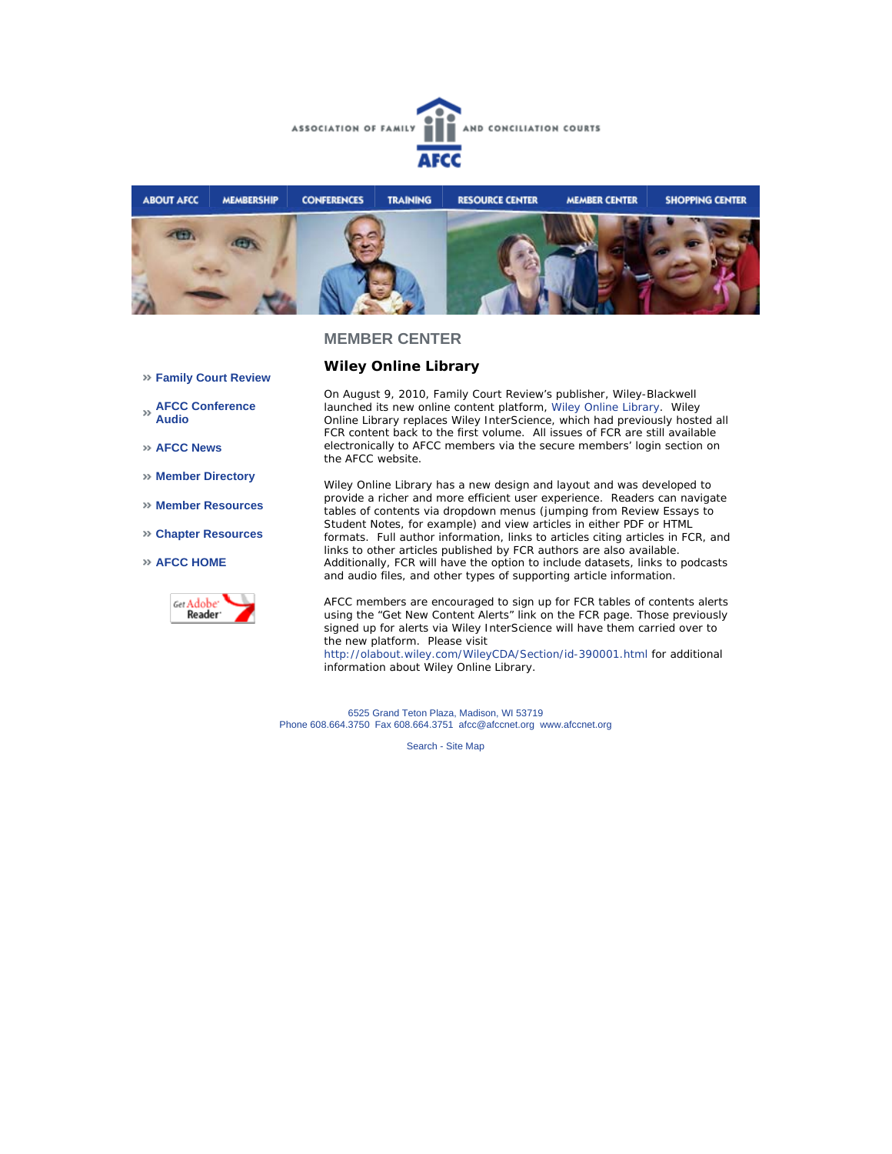



**Wiley Online Library**

## **Family Court Review**

- **AFCC Conference Audio**
- **AFCC News**
- **Member Directory**
- **Member Resources**
- **Chapter Resources**
- **AFCC HOME**



On August 9, 2010, *Family Court Review's* publisher, Wiley-Blackwell launched its new online content platform, Wiley Online Library. Wiley Online Library replaces Wiley InterScience, which had previously hosted all *FCR* content back to the first volume. All issues of *FCR* are still available electronically to AFCC members via the secure members' login section on the AFCC website.

Wiley Online Library has a new design and layout and was developed to provide a richer and more efficient user experience. Readers can navigate tables of contents via dropdown menus (jumping from Review Essays to Student Notes, for example) and view articles in either PDF or HTML formats. Full author information, links to articles citing articles in *FCR*, and links to other articles published by *FCR* authors are also available. Additionally, *FCR* will have the option to include datasets, links to podcasts and audio files, and other types of supporting article information.

AFCC members are encouraged to sign up for *FCR* tables of contents alerts using the "Get New Content Alerts" link on the *FCR* page. Those previously signed up for alerts via Wiley InterScience will have them carried over to the new platform. Please visit

http://olabout.wiley.com/WileyCDA/Section/id-390001.html for additional information about Wiley Online Library.

6525 Grand Teton Plaza, Madison, WI 53719 Phone 608.664.3750 Fax 608.664.3751 afcc@afccnet.org www.afccnet.org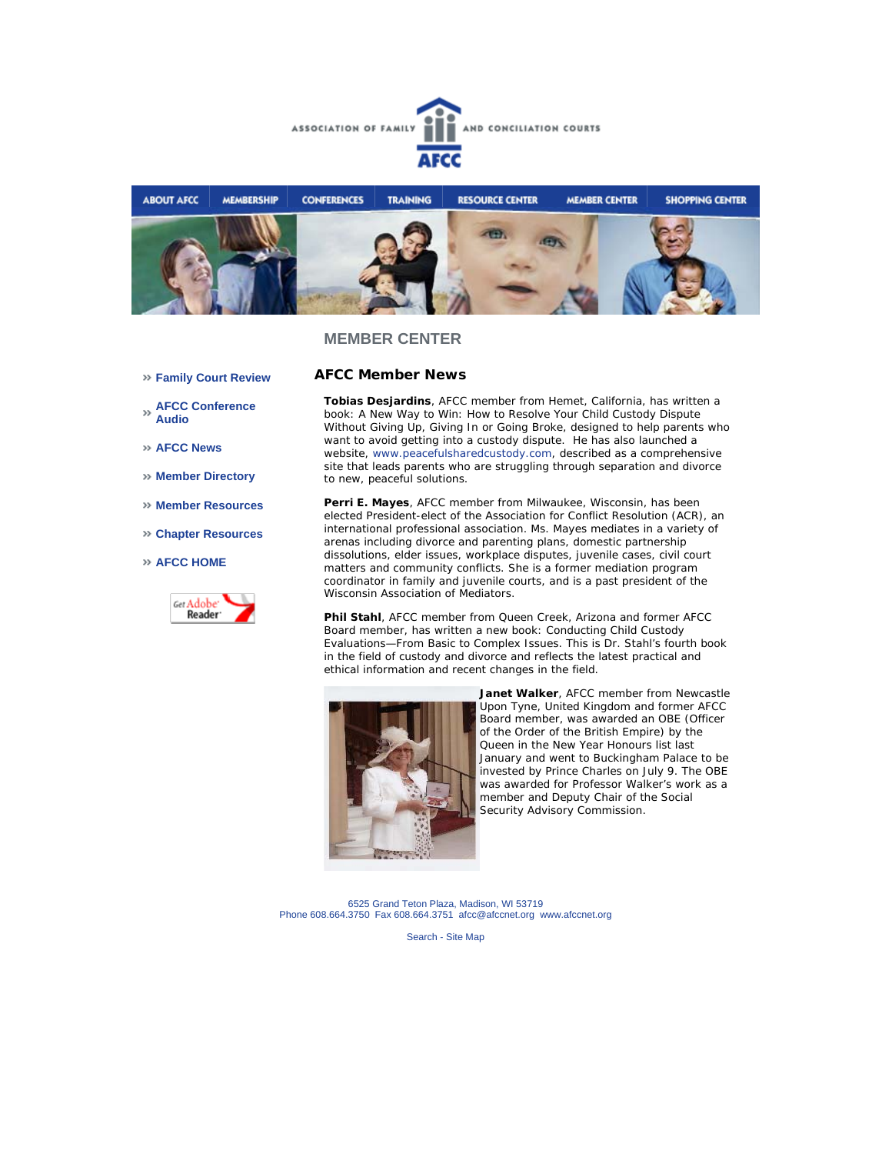



**AFCC Member News** 

- **Family Court Review**
- **AFCC Conference Audio**
- **AFCC News**
- **Member Directory**
- **Member Resources**
- **Chapter Resources**
- **AFCC HOME**



**Tobias Desjardins**, AFCC member from Hemet, California, has written a book: *A New Way to Win: How to Resolve Your Child Custody Dispute Without Giving Up, Giving In or Going Broke*, designed to help parents who want to avoid getting into a custody dispute. He has also launched a website, www.peacefulsharedcustody.com, described as a comprehensive site that leads parents who are struggling through separation and divorce to new, peaceful solutions.

**Perri E. Mayes**, AFCC member from Milwaukee, Wisconsin, has been elected President-elect of the Association for Conflict Resolution (ACR), an international professional association. Ms. Mayes mediates in a variety of arenas including divorce and parenting plans, domestic partnership dissolutions, elder issues, workplace disputes, juvenile cases, civil court matters and community conflicts. She is a former mediation program coordinator in family and juvenile courts, and is a past president of the Wisconsin Association of Mediators.

**Phil Stahl**, AFCC member from Queen Creek, Arizona and former AFCC Board member, has written a new book: *Conducting Child Custody Evaluations—From Basic to Complex Issues.* This is Dr. Stahl's fourth book in the field of custody and divorce and reflects the latest practical and ethical information and recent changes in the field.



**Janet Walker**, AFCC member from Newcastle Upon Tyne, United Kingdom and former AFCC Board member, was awarded an OBE (Officer of the Order of the British Empire) by the Queen in the New Year Honours list last January and went to Buckingham Palace to be invested by Prince Charles on July 9. The OBE was awarded for Professor Walker's work as a member and Deputy Chair of the Social Security Advisory Commission.

6525 Grand Teton Plaza, Madison, WI 53719 Phone 608.664.3750 Fax 608.664.3751 afcc@afccnet.org www.afccnet.org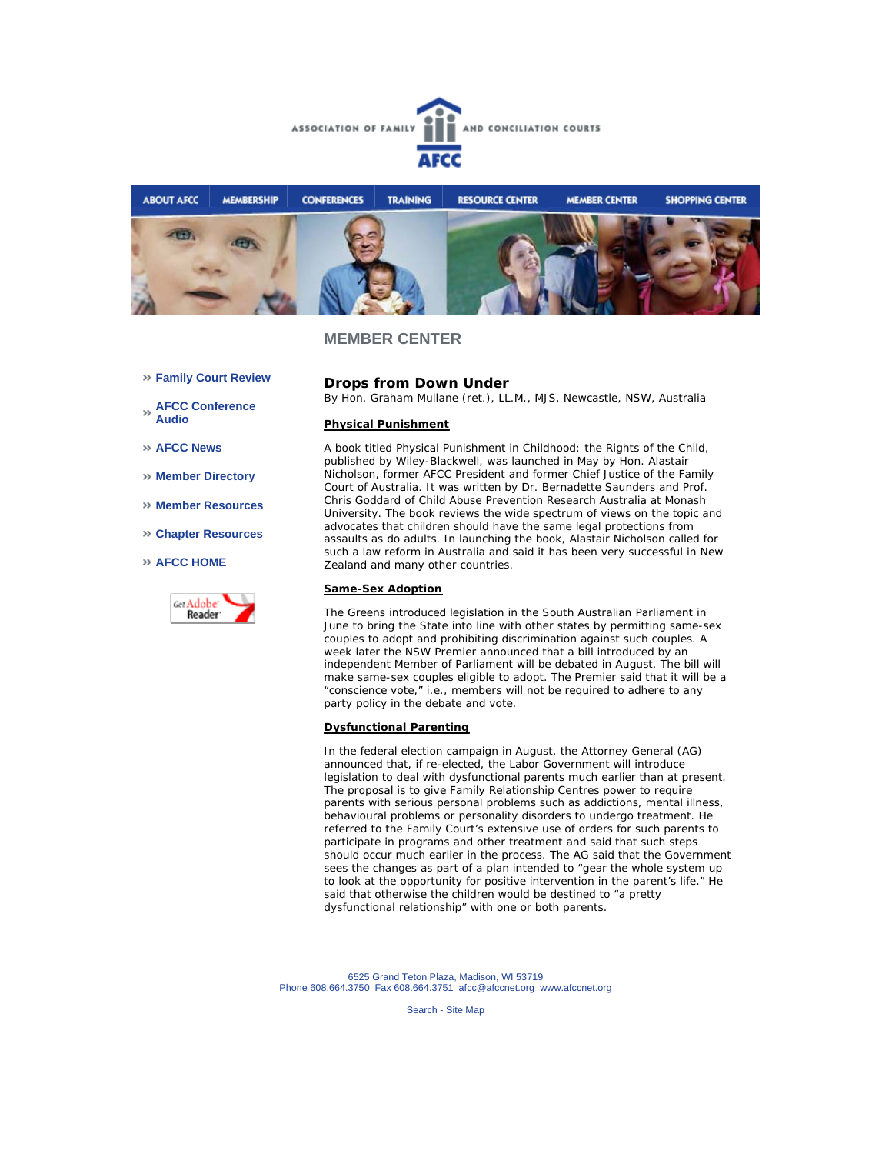



- **Family Court Review**
- **AFCC Conference Audio**
- **AFCC News**
- **Member Directory**
- **Member Resources**
- **Chapter Resources**
- **AFCC HOME**



**Drops from Down Under**

*By Hon. Graham Mullane (ret.), LL.M., MJS, Newcastle, NSW, Australia*

#### **Physical Punishment**

A book titled *Physical Punishment in Childhood: the Rights of the Child*, published by Wiley-Blackwell, was launched in May by Hon. Alastair Nicholson, former AFCC President and former Chief Justice of the Family Court of Australia. It was written by Dr. Bernadette Saunders and Prof. Chris Goddard of Child Abuse Prevention Research Australia at Monash University. The book reviews the wide spectrum of views on the topic and advocates that children should have the same legal protections from assaults as do adults. In launching the book, Alastair Nicholson called for such a law reform in Australia and said it has been very successful in New Zealand and many other countries.

#### **Same-Sex Adoption**

The Greens introduced legislation in the South Australian Parliament in June to bring the State into line with other states by permitting same-sex couples to adopt and prohibiting discrimination against such couples. A week later the NSW Premier announced that a bill introduced by an independent Member of Parliament will be debated in August. The bill will make same-sex couples eligible to adopt. The Premier said that it will be a "conscience vote," i.e., members will not be required to adhere to any party policy in the debate and vote.

#### **Dysfunctional Parenting**

In the federal election campaign in August, the Attorney General (AG) announced that, if re-elected, the Labor Government will introduce legislation to deal with dysfunctional parents much earlier than at present. The proposal is to give Family Relationship Centres power to require parents with serious personal problems such as addictions, mental illness, behavioural problems or personality disorders to undergo treatment. He referred to the Family Court's extensive use of orders for such parents to participate in programs and other treatment and said that such steps should occur much earlier in the process. The AG said that the Government sees the changes as part of a plan intended to "gear the whole system up to look at the opportunity for positive intervention in the parent's life." He said that otherwise the children would be destined to "a pretty dysfunctional relationship" with one or both parents.

6525 Grand Teton Plaza, Madison, WI 53719 Phone 608.664.3750 Fax 608.664.3751 afcc@afccnet.org www.afccnet.org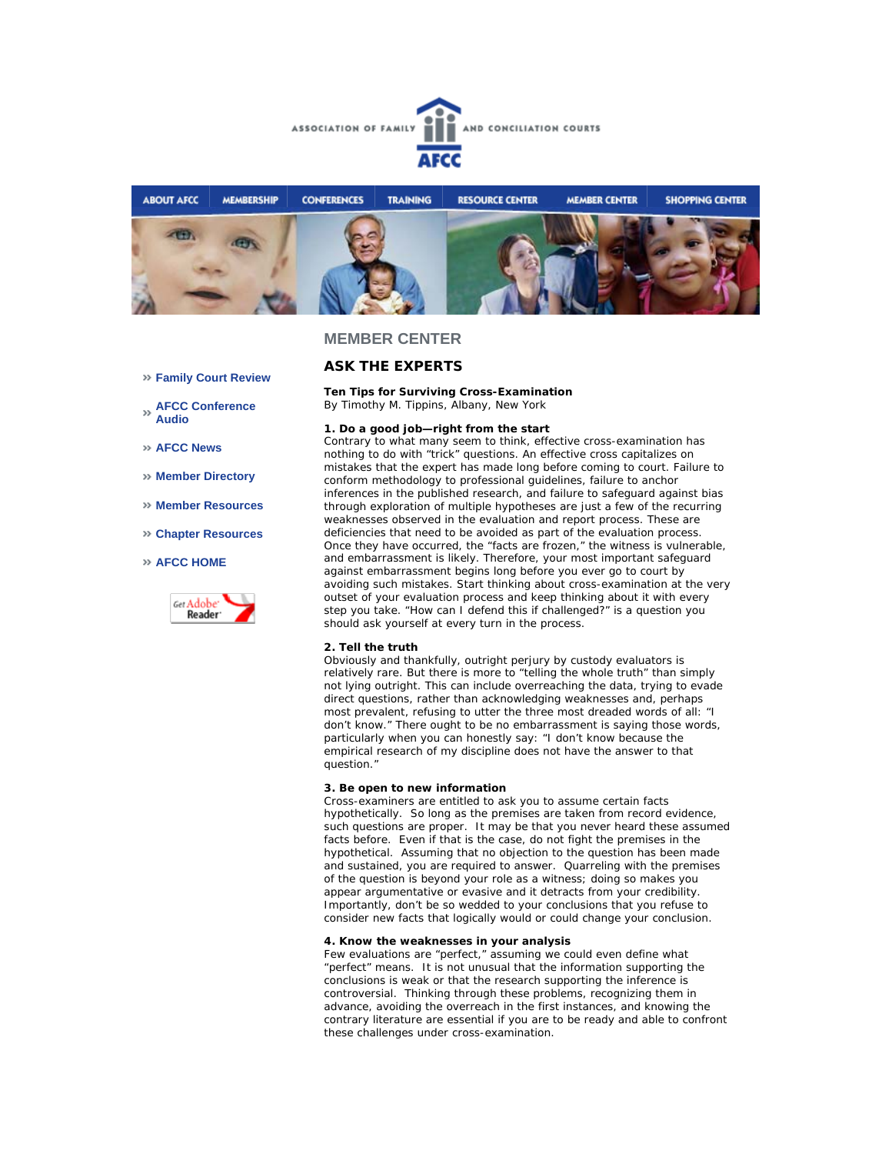



### **ASK THE EXPERTS**

**Ten Tips for Surviving Cross-Examination** *By Timothy M. Tippins, Albany, New York* 

#### **1. Do a good job—right from the start**

Contrary to what many seem to think, effective cross-examination has nothing to do with "trick" questions. An effective cross capitalizes on mistakes that the expert has made long before coming to court. Failure to conform methodology to professional guidelines, failure to anchor inferences in the published research, and failure to safeguard against bias through exploration of multiple hypotheses are just a few of the recurring weaknesses observed in the evaluation and report process. These are deficiencies that need to be avoided as part of the evaluation process. Once they have occurred, the "facts are frozen," the witness is vulnerable, and embarrassment is likely. Therefore, your most important safeguard against embarrassment begins long before you ever go to court by avoiding such mistakes. Start thinking about cross-examination at the very outset of your evaluation process and keep thinking about it with every step you take. "How can I defend this if challenged?" is a question you should ask yourself at every turn in the process.

#### **2. Tell the truth**

Obviously and thankfully, outright perjury by custody evaluators is relatively rare. But there is more to "telling the whole truth" than simply not lying outright. This can include overreaching the data, trying to evade direct questions, rather than acknowledging weaknesses and, perhaps most prevalent, refusing to utter the three most dreaded words of all: "I don't know." There ought to be no embarrassment is saying those words, particularly when you can honestly say: "I don't know because the empirical research of my discipline does not have the answer to that question."

#### **3. Be open to new information**

Cross-examiners are entitled to ask you to assume certain facts hypothetically. So long as the premises are taken from record evidence, such questions are proper. It may be that you never heard these assumed facts before. Even if that is the case, do not fight the premises in the hypothetical. Assuming that no objection to the question has been made and sustained, you are required to answer. Quarreling with the premises of the question is beyond your role as a witness; doing so makes you appear argumentative or evasive and it detracts from your credibility. Importantly, don't be so wedded to your conclusions that you refuse to consider new facts that logically would or could change your conclusion.

#### **4. Know the weaknesses in your analysis**

Few evaluations are "perfect," assuming we could even define what "perfect" means. It is not unusual that the information supporting the conclusions is weak or that the research supporting the inference is controversial. Thinking through these problems, recognizing them in advance, avoiding the overreach in the first instances, and knowing the contrary literature are essential if you are to be ready and able to confront these challenges under cross-examination.

- **Family Court Review**
- **AFCC Conference Audio**
- **AFCC News**
- **Member Directory**
- **Member Resources**
- **Chapter Resources**

#### **AFCC HOME**

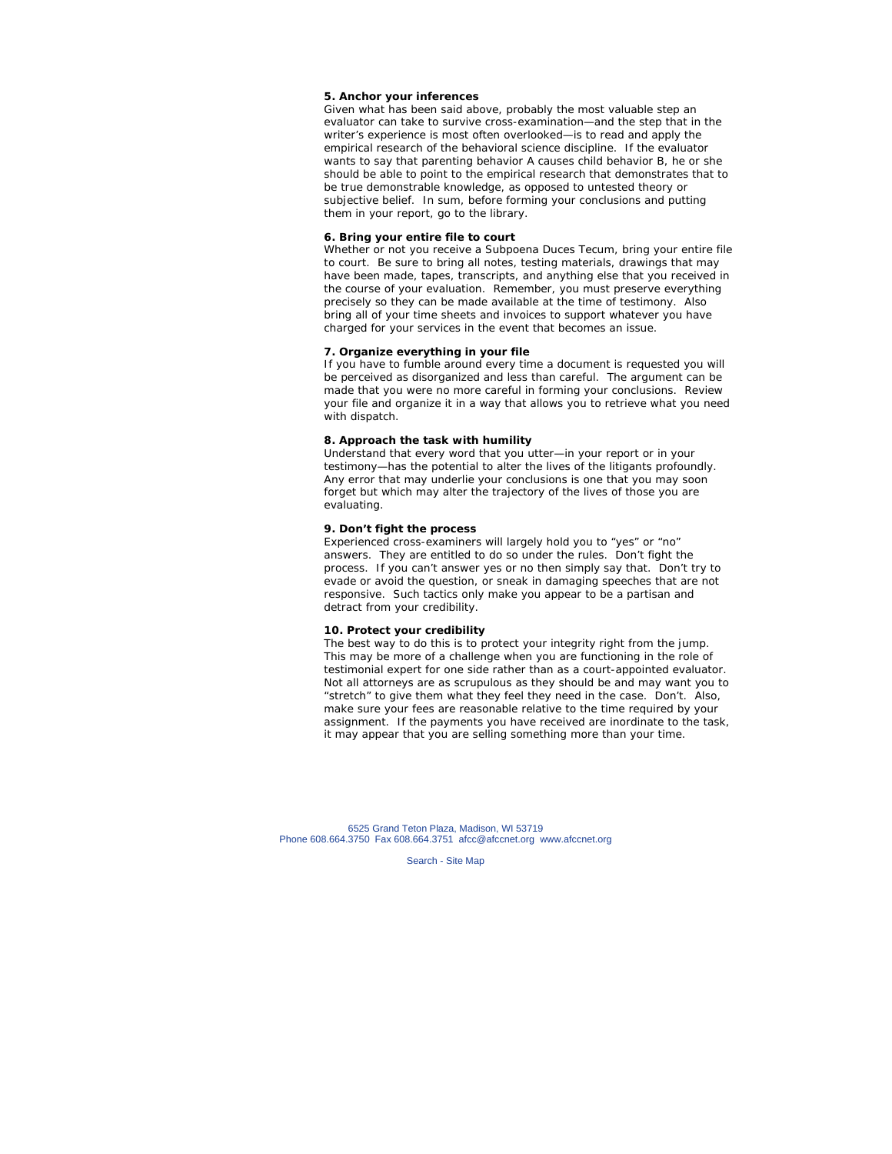#### **5. Anchor your inferences**

Given what has been said above, probably the most valuable step an evaluator can take to survive cross-examination—and the step that in the writer's experience is most often overlooked—is to read and apply the empirical research of the behavioral science discipline. If the evaluator wants to say that parenting behavior A causes child behavior B, he or she should be able to point to the empirical research that demonstrates that to be true demonstrable knowledge, as opposed to untested theory or subjective belief. In sum, before forming your conclusions and putting them in your report, go to the library.

#### **6. Bring your entire file to court**

Whether or not you receive a *Subpoena Duces Tecum*, bring your entire file to court. Be sure to bring all notes, testing materials, drawings that may have been made, tapes, transcripts, and anything else that you received in the course of your evaluation. Remember, you must preserve everything precisely so they can be made available at the time of testimony. Also bring all of your time sheets and invoices to support whatever you have charged for your services in the event that becomes an issue.

#### **7. Organize everything in your file**

If you have to fumble around every time a document is requested you will be perceived as disorganized and less than careful. The argument can be made that you were no more careful in forming your conclusions. Review your file and organize it in a way that allows you to retrieve what you need with dispatch.

#### **8. Approach the task with humility**

Understand that every word that you utter—in your report or in your testimony—has the potential to alter the lives of the litigants profoundly. Any error that may underlie your conclusions is one that you may soon forget but which may alter the trajectory of the lives of those you are evaluating.

#### **9. Don't fight the process**

Experienced cross-examiners will largely hold you to "yes" or "no" answers. They are entitled to do so under the rules. Don't fight the process. If you can't answer yes or no then simply say that. Don't try to evade or avoid the question, or sneak in damaging speeches that are not responsive. Such tactics only make you appear to be a partisan and detract from your credibility.

#### **10. Protect your credibility**

The best way to do this is to protect your integrity right from the jump. This may be more of a challenge when you are functioning in the role of testimonial expert for one side rather than as a court-appointed evaluator. Not all attorneys are as scrupulous as they should be and may want you to "stretch" to give them what they feel they need in the case. Don't. Also, make sure your fees are reasonable relative to the time required by your assignment. If the payments you have received are inordinate to the task, it may appear that you are selling something more than your time.

6525 Grand Teton Plaza, Madison, WI 53719 Phone 608.664.3750 Fax 608.664.3751 afcc@afccnet.org www.afccnet.org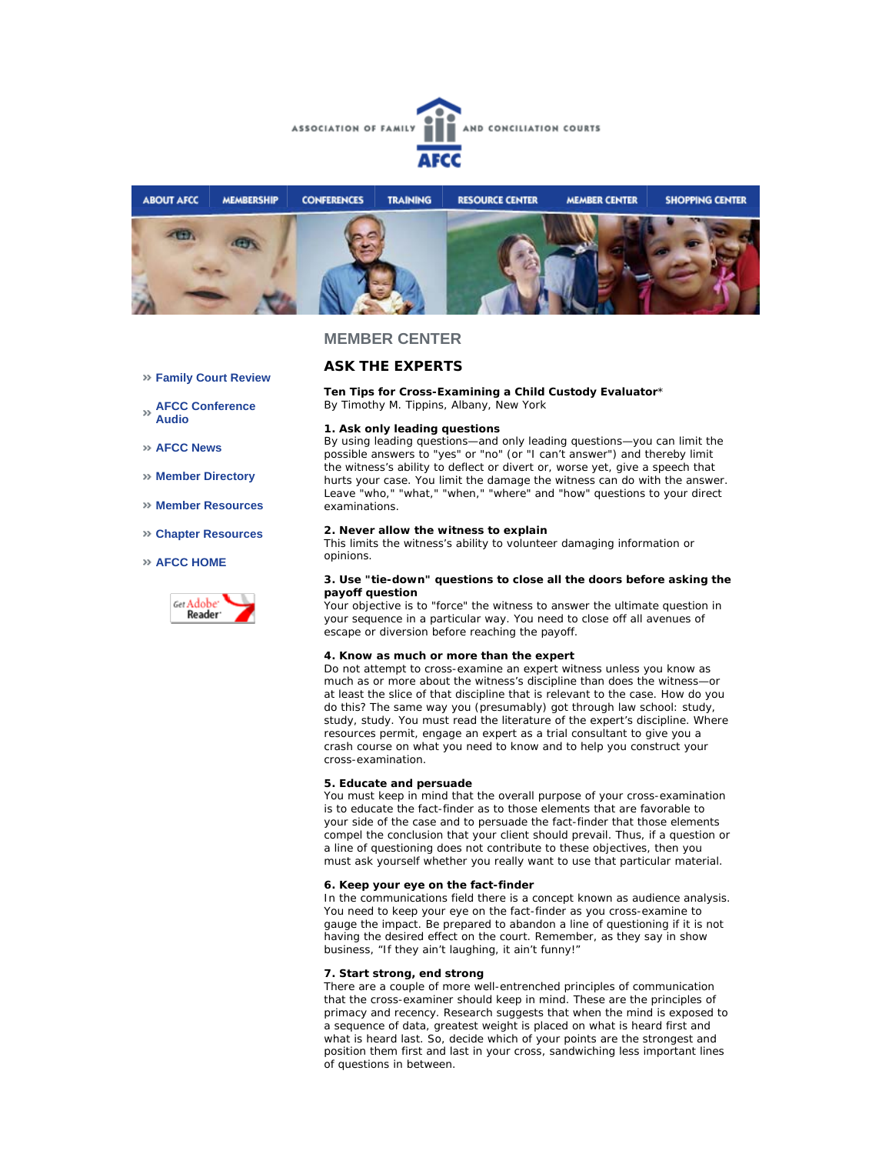



## **ASK THE EXPERTS**

**Ten Tips for Cross-Examining a Child Custody Evaluator**\* *By Timothy M. Tippins, Albany, New York* 

#### **1. Ask only leading questions**

By using leading questions—and only leading questions—you can limit the possible answers to "yes" or "no" (or "I can't answer") and thereby limit the witness's ability to deflect or divert or, worse yet, give a speech that hurts your case. You limit the damage the witness can do with the answer. Leave "who," "what," "when," "where" and "how" questions to your direct examinations.

#### **2. Never allow the witness to explain**

This limits the witness's ability to volunteer damaging information or opinions.

#### **3. Use "tie-down" questions to close all the doors before asking the payoff question**

Your objective is to "force" the witness to answer the ultimate question in your sequence in a particular way. You need to close off all avenues of escape or diversion before reaching the payoff.

#### **4. Know as much or more than the expert**

Do not attempt to cross-examine an expert witness unless you know as much as or more about the witness's discipline than does the witness—or at least the slice of that discipline that is relevant to the case. How do you do this? The same way you (presumably) got through law school: study, study, study. You must read the literature of the expert's discipline. Where resources permit, engage an expert as a trial consultant to give you a crash course on what you need to know and to help you construct your cross-examination.

### **5. Educate and persuade**

You must keep in mind that the overall purpose of your cross-examination is to educate the fact-finder as to those elements that are favorable to your side of the case and to persuade the fact-finder that those elements compel the conclusion that your client should prevail. Thus, if a question or a line of questioning does not contribute to these objectives, then you must ask yourself whether you really want to use that particular material.

#### **6. Keep your eye on the fact-finder**

In the communications field there is a concept known as audience analysis. You need to keep your eye on the fact-finder as you cross-examine to gauge the impact. Be prepared to abandon a line of questioning if it is not having the desired effect on the court. Remember, as they say in show business, "If they ain't laughing, it ain't funny!"

#### **7. Start strong, end strong**

There are a couple of more well-entrenched principles of communication that the cross-examiner should keep in mind. These are the principles of primacy and recency. Research suggests that when the mind is exposed to a sequence of data, greatest weight is placed on what is heard first and what is heard last. So, decide which of your points are the strongest and position them first and last in your cross, sandwiching less important lines of questions in between.

- **Family Court Review**
- **AFCC Conference Audio**
- **AFCC News**
- **Member Directory**
- **Member Resources**
- **Chapter Resources**

#### **AFCC HOME**